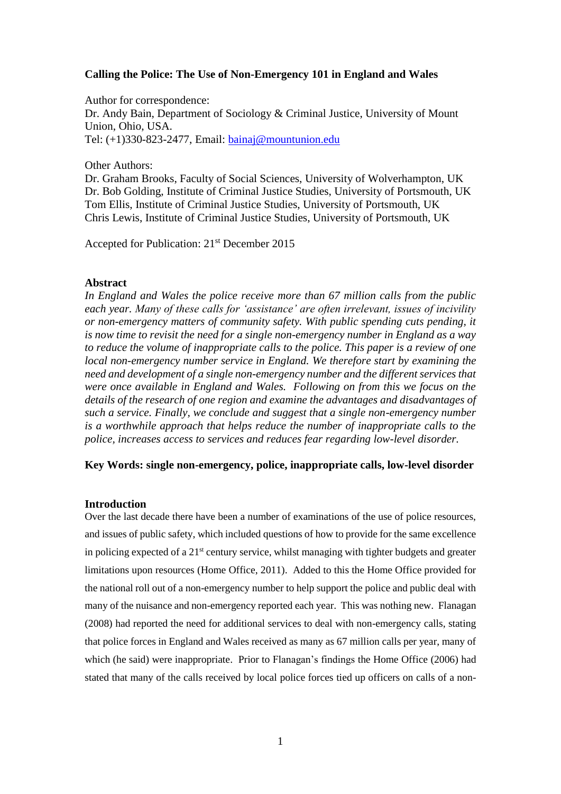# **Calling the Police: The Use of Non-Emergency 101 in England and Wales**

Author for correspondence: Dr. Andy Bain, Department of Sociology & Criminal Justice, University of Mount Union, Ohio, USA. Tel: (+1)330-823-2477, Email: [bainaj@mountunion.edu](mailto:bainaj@mountunion.edu)

#### Other Authors:

Dr. Graham Brooks, Faculty of Social Sciences, University of Wolverhampton, UK Dr. Bob Golding, Institute of Criminal Justice Studies, University of Portsmouth, UK Tom Ellis, Institute of Criminal Justice Studies, University of Portsmouth, UK Chris Lewis, Institute of Criminal Justice Studies, University of Portsmouth, UK

Accepted for Publication: 21st December 2015

### **Abstract**

*In England and Wales the police receive more than 67 million calls from the public each year. Many of these calls for 'assistance' are often irrelevant, issues of incivility or non-emergency matters of community safety. With public spending cuts pending, it is now time to revisit the need for a single non-emergency number in England as a way to reduce the volume of inappropriate calls to the police. This paper is a review of one local non-emergency number service in England. We therefore start by examining the need and development of a single non-emergency number and the different services that were once available in England and Wales. Following on from this we focus on the details of the research of one region and examine the advantages and disadvantages of such a service. Finally, we conclude and suggest that a single non-emergency number is a worthwhile approach that helps reduce the number of inappropriate calls to the police, increases access to services and reduces fear regarding low-level disorder.* 

## **Key Words: single non-emergency, police, inappropriate calls, low-level disorder**

### **Introduction**

Over the last decade there have been a number of examinations of the use of police resources, and issues of public safety, which included questions of how to provide for the same excellence in policing expected of a  $21<sup>st</sup>$  century service, whilst managing with tighter budgets and greater limitations upon resources (Home Office, 2011). Added to this the Home Office provided for the national roll out of a non-emergency number to help support the police and public deal with many of the nuisance and non-emergency reported each year. This was nothing new. Flanagan (2008) had reported the need for additional services to deal with non-emergency calls, stating that police forces in England and Wales received as many as 67 million calls per year, many of which (he said) were inappropriate. Prior to Flanagan's findings the Home Office (2006) had stated that many of the calls received by local police forces tied up officers on calls of a non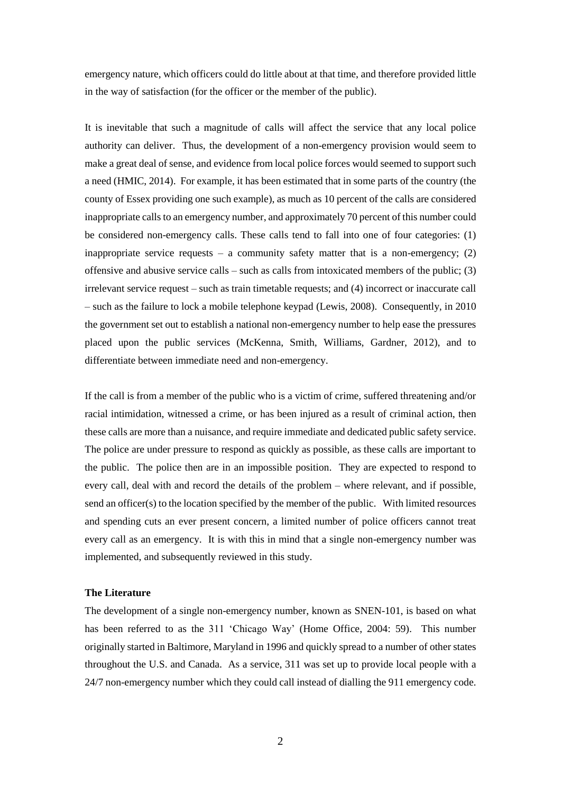emergency nature, which officers could do little about at that time, and therefore provided little in the way of satisfaction (for the officer or the member of the public).

It is inevitable that such a magnitude of calls will affect the service that any local police authority can deliver. Thus, the development of a non-emergency provision would seem to make a great deal of sense, and evidence from local police forces would seemed to support such a need (HMIC, 2014). For example, it has been estimated that in some parts of the country (the county of Essex providing one such example), as much as 10 percent of the calls are considered inappropriate calls to an emergency number, and approximately 70 percent of this number could be considered non-emergency calls. These calls tend to fall into one of four categories: (1) inappropriate service requests – a community safety matter that is a non-emergency;  $(2)$ offensive and abusive service calls – such as calls from intoxicated members of the public;  $(3)$ irrelevant service request – such as train timetable requests; and (4) incorrect or inaccurate call – such as the failure to lock a mobile telephone keypad (Lewis, 2008). Consequently, in 2010 the government set out to establish a national non-emergency number to help ease the pressures placed upon the public services (McKenna, Smith, Williams, Gardner, 2012), and to differentiate between immediate need and non-emergency.

If the call is from a member of the public who is a victim of crime, suffered threatening and/or racial intimidation, witnessed a crime, or has been injured as a result of criminal action, then these calls are more than a nuisance, and require immediate and dedicated public safety service. The police are under pressure to respond as quickly as possible, as these calls are important to the public. The police then are in an impossible position. They are expected to respond to every call, deal with and record the details of the problem – where relevant, and if possible, send an officer(s) to the location specified by the member of the public. With limited resources and spending cuts an ever present concern, a limited number of police officers cannot treat every call as an emergency. It is with this in mind that a single non-emergency number was implemented, and subsequently reviewed in this study.

## **The Literature**

The development of a single non-emergency number, known as SNEN-101, is based on what has been referred to as the 311 'Chicago Way' (Home Office, 2004: 59). This number originally started in Baltimore, Maryland in 1996 and quickly spread to a number of other states throughout the U.S. and Canada. As a service, 311 was set up to provide local people with a 24/7 non-emergency number which they could call instead of dialling the 911 emergency code.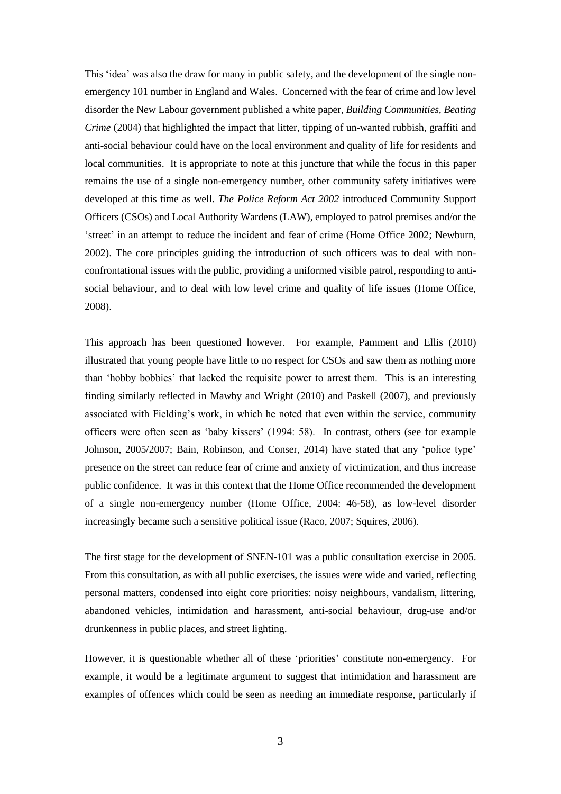This 'idea' was also the draw for many in public safety, and the development of the single nonemergency 101 number in England and Wales. Concerned with the fear of crime and low level disorder the New Labour government published a white paper, *Building Communities, Beating Crime* (2004) that highlighted the impact that litter, tipping of un-wanted rubbish, graffiti and anti-social behaviour could have on the local environment and quality of life for residents and local communities. It is appropriate to note at this juncture that while the focus in this paper remains the use of a single non-emergency number, other community safety initiatives were developed at this time as well. *The Police Reform Act 2002* introduced Community Support Officers (CSOs) and Local Authority Wardens (LAW), employed to patrol premises and/or the 'street' in an attempt to reduce the incident and fear of crime (Home Office 2002; Newburn, 2002). The core principles guiding the introduction of such officers was to deal with nonconfrontational issues with the public, providing a uniformed visible patrol, responding to antisocial behaviour, and to deal with low level crime and quality of life issues (Home Office, 2008).

This approach has been questioned however. For example, Pamment and Ellis (2010) illustrated that young people have little to no respect for CSOs and saw them as nothing more than 'hobby bobbies' that lacked the requisite power to arrest them. This is an interesting finding similarly reflected in Mawby and Wright (2010) and Paskell (2007), and previously associated with Fielding's work, in which he noted that even within the service, community officers were often seen as 'baby kissers' (1994: 58). In contrast, others (see for example Johnson, 2005/2007; Bain, Robinson, and Conser, 2014) have stated that any 'police type' presence on the street can reduce fear of crime and anxiety of victimization, and thus increase public confidence. It was in this context that the Home Office recommended the development of a single non-emergency number (Home Office, 2004: 46-58), as low-level disorder increasingly became such a sensitive political issue (Raco, 2007; Squires, 2006).

The first stage for the development of SNEN-101 was a public consultation exercise in 2005. From this consultation, as with all public exercises, the issues were wide and varied, reflecting personal matters, condensed into eight core priorities: noisy neighbours, vandalism, littering, abandoned vehicles, intimidation and harassment, anti-social behaviour, drug-use and/or drunkenness in public places, and street lighting.

However, it is questionable whether all of these 'priorities' constitute non-emergency. For example, it would be a legitimate argument to suggest that intimidation and harassment are examples of offences which could be seen as needing an immediate response, particularly if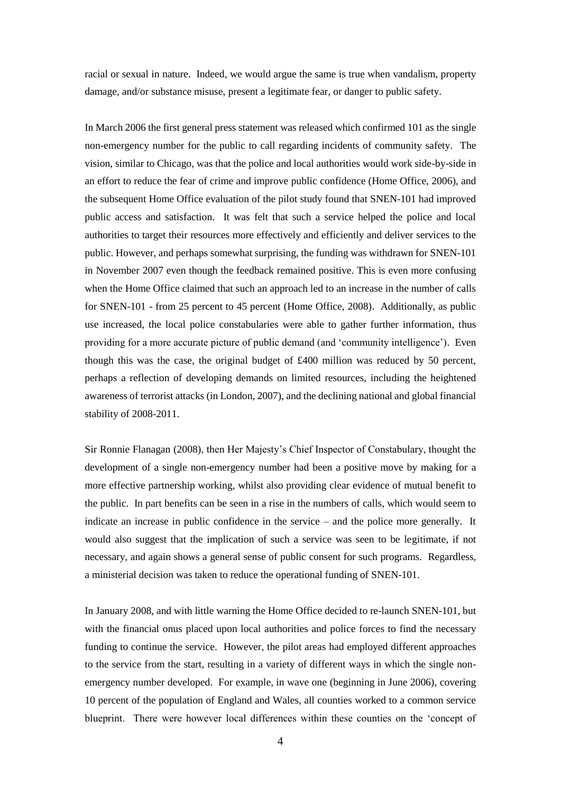racial or sexual in nature. Indeed, we would argue the same is true when vandalism, property damage, and/or substance misuse, present a legitimate fear, or danger to public safety.

In March 2006 the first general press statement was released which confirmed 101 as the single non-emergency number for the public to call regarding incidents of community safety. The vision, similar to Chicago, was that the police and local authorities would work side-by-side in an effort to reduce the fear of crime and improve public confidence (Home Office, 2006), and the subsequent Home Office evaluation of the pilot study found that SNEN-101 had improved public access and satisfaction. It was felt that such a service helped the police and local authorities to target their resources more effectively and efficiently and deliver services to the public. However, and perhaps somewhat surprising, the funding was withdrawn for SNEN-101 in November 2007 even though the feedback remained positive. This is even more confusing when the Home Office claimed that such an approach led to an increase in the number of calls for SNEN-101 - from 25 percent to 45 percent (Home Office, 2008). Additionally, as public use increased, the local police constabularies were able to gather further information, thus providing for a more accurate picture of public demand (and 'community intelligence'). Even though this was the case, the original budget of £400 million was reduced by 50 percent, perhaps a reflection of developing demands on limited resources, including the heightened awareness of terrorist attacks (in London, 2007), and the declining national and global financial stability of 2008-2011.

Sir Ronnie Flanagan (2008), then Her Majesty's Chief Inspector of Constabulary, thought the development of a single non-emergency number had been a positive move by making for a more effective partnership working, whilst also providing clear evidence of mutual benefit to the public. In part benefits can be seen in a rise in the numbers of calls, which would seem to indicate an increase in public confidence in the service – and the police more generally. It would also suggest that the implication of such a service was seen to be legitimate, if not necessary, and again shows a general sense of public consent for such programs. Regardless, a ministerial decision was taken to reduce the operational funding of SNEN-101.

In January 2008, and with little warning the Home Office decided to re-launch SNEN-101, but with the financial onus placed upon local authorities and police forces to find the necessary funding to continue the service. However, the pilot areas had employed different approaches to the service from the start, resulting in a variety of different ways in which the single nonemergency number developed. For example, in wave one (beginning in June 2006), covering 10 percent of the population of England and Wales, all counties worked to a common service blueprint. There were however local differences within these counties on the 'concept of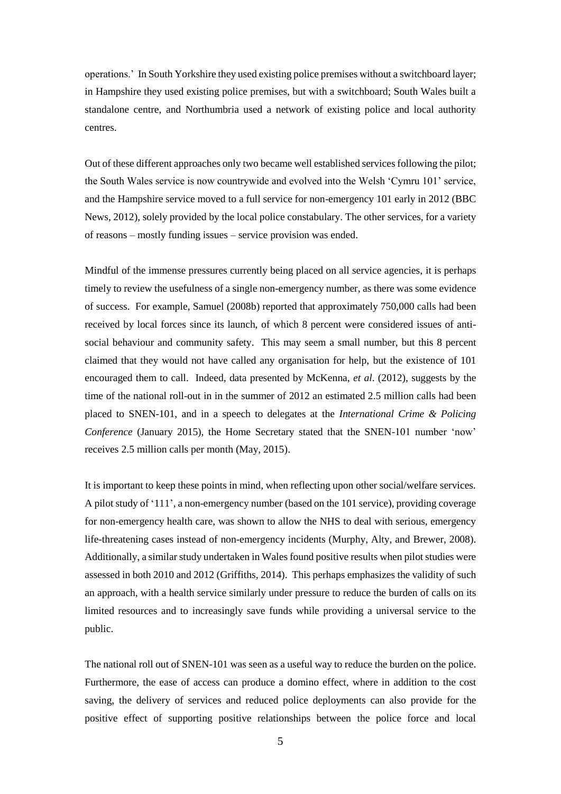operations.' In South Yorkshire they used existing police premises without a switchboard layer; in Hampshire they used existing police premises, but with a switchboard; South Wales built a standalone centre, and Northumbria used a network of existing police and local authority centres.

Out of these different approaches only two became well established services following the pilot; the South Wales service is now countrywide and evolved into the Welsh 'Cymru 101' service, and the Hampshire service moved to a full service for non-emergency 101 early in 2012 (BBC News, 2012), solely provided by the local police constabulary. The other services, for a variety of reasons – mostly funding issues – service provision was ended.

Mindful of the immense pressures currently being placed on all service agencies, it is perhaps timely to review the usefulness of a single non-emergency number, as there was some evidence of success. For example, Samuel (2008b) reported that approximately 750,000 calls had been received by local forces since its launch, of which 8 percent were considered issues of antisocial behaviour and community safety. This may seem a small number, but this 8 percent claimed that they would not have called any organisation for help, but the existence of 101 encouraged them to call. Indeed, data presented by McKenna, *et al*. (2012), suggests by the time of the national roll-out in in the summer of 2012 an estimated 2.5 million calls had been placed to SNEN-101, and in a speech to delegates at the *International Crime & Policing Conference* (January 2015), the Home Secretary stated that the SNEN-101 number 'now' receives 2.5 million calls per month (May, 2015).

It is important to keep these points in mind, when reflecting upon other social/welfare services. A pilot study of '111', a non-emergency number (based on the 101 service), providing coverage for non-emergency health care, was shown to allow the NHS to deal with serious, emergency life-threatening cases instead of non-emergency incidents (Murphy, Alty, and Brewer, 2008). Additionally, a similar study undertaken in Wales found positive results when pilot studies were assessed in both 2010 and 2012 (Griffiths, 2014). This perhaps emphasizes the validity of such an approach, with a health service similarly under pressure to reduce the burden of calls on its limited resources and to increasingly save funds while providing a universal service to the public.

The national roll out of SNEN-101 was seen as a useful way to reduce the burden on the police. Furthermore, the ease of access can produce a domino effect, where in addition to the cost saving, the delivery of services and reduced police deployments can also provide for the positive effect of supporting positive relationships between the police force and local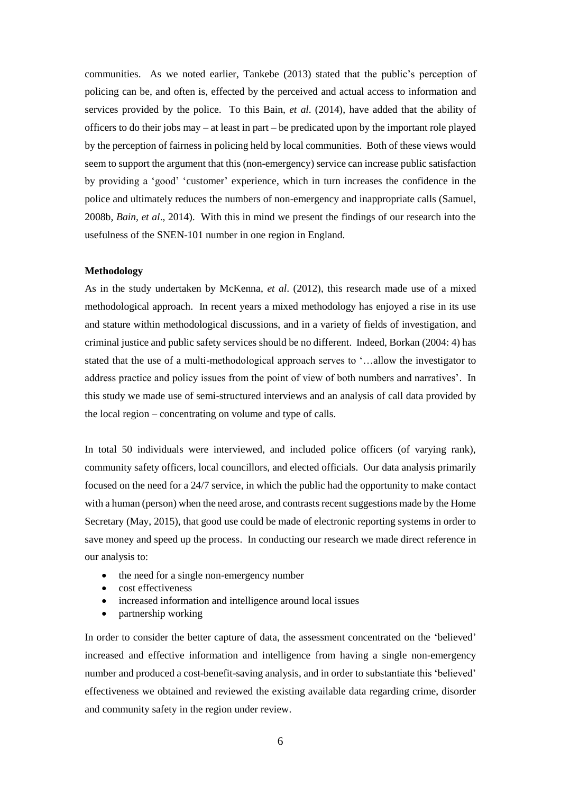communities. As we noted earlier, Tankebe (2013) stated that the public's perception of policing can be, and often is, effected by the perceived and actual access to information and services provided by the police. To this Bain, *et al*. (2014), have added that the ability of officers to do their jobs may – at least in part – be predicated upon by the important role played by the perception of fairness in policing held by local communities. Both of these views would seem to support the argument that this (non-emergency) service can increase public satisfaction by providing a 'good' 'customer' experience, which in turn increases the confidence in the police and ultimately reduces the numbers of non-emergency and inappropriate calls (Samuel, 2008b, *Bain, et al*., 2014). With this in mind we present the findings of our research into the usefulness of the SNEN-101 number in one region in England.

#### **Methodology**

As in the study undertaken by McKenna, *et al*. (2012), this research made use of a mixed methodological approach. In recent years a mixed methodology has enjoyed a rise in its use and stature within methodological discussions, and in a variety of fields of investigation, and criminal justice and public safety services should be no different. Indeed, Borkan (2004: 4) has stated that the use of a multi-methodological approach serves to '…allow the investigator to address practice and policy issues from the point of view of both numbers and narratives'. In this study we made use of semi-structured interviews and an analysis of call data provided by the local region – concentrating on volume and type of calls.

In total 50 individuals were interviewed, and included police officers (of varying rank), community safety officers, local councillors, and elected officials. Our data analysis primarily focused on the need for a 24/7 service, in which the public had the opportunity to make contact with a human (person) when the need arose, and contrasts recent suggestions made by the Home Secretary (May, 2015), that good use could be made of electronic reporting systems in order to save money and speed up the process. In conducting our research we made direct reference in our analysis to:

- the need for a single non-emergency number
- cost effectiveness
- increased information and intelligence around local issues
- partnership working

In order to consider the better capture of data, the assessment concentrated on the 'believed' increased and effective information and intelligence from having a single non-emergency number and produced a cost-benefit-saving analysis, and in order to substantiate this 'believed' effectiveness we obtained and reviewed the existing available data regarding crime, disorder and community safety in the region under review.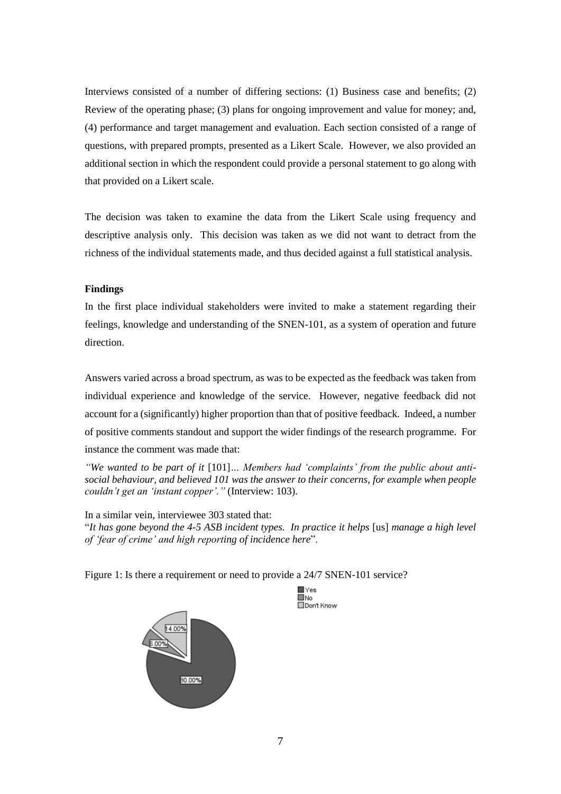Interviews consisted of a number of differing sections: (1) Business case and benefits; (2) Review of the operating phase; (3) plans for ongoing improvement and value for money; and, (4) performance and target management and evaluation. Each section consisted of a range of questions, with prepared prompts, presented as a Likert Scale. However, we also provided an additional section in which the respondent could provide a personal statement to go along with that provided on a Likert scale.

The decision was taken to examine the data from the Likert Scale using frequency and descriptive analysis only. This decision was taken as we did not want to detract from the richness of the individual statements made, and thus decided against a full statistical analysis.

## **Findings**

In the first place individual stakeholders were invited to make a statement regarding their feelings, knowledge and understanding of the SNEN-101, as a system of operation and future direction.

Answers varied across a broad spectrum, as was to be expected as the feedback was taken from individual experience and knowledge of the service. However, negative feedback did not account for a (significantly) higher proportion than that of positive feedback. Indeed, a number of positive comments standout and support the wider findings of the research programme. For instance the comment was made that:

*"We wanted to be part of it* [101]*… Members had 'complaints' from the public about antisocial behaviour, and believed 101 was the answer to their concerns, for example when people couldn't get an 'instant copper'."* (Interview: 103).

In a similar vein, interviewee 303 stated that: "*It has gone beyond the 4-5 ASB incident types. In practice it helps* [us] *manage a high level of 'fear of crime' and high reporting of incidence here*".

> $\blacksquare \vee$ ■No<br>□Don't Know

Figure 1: Is there a requirement or need to provide a 24/7 SNEN-101 service?

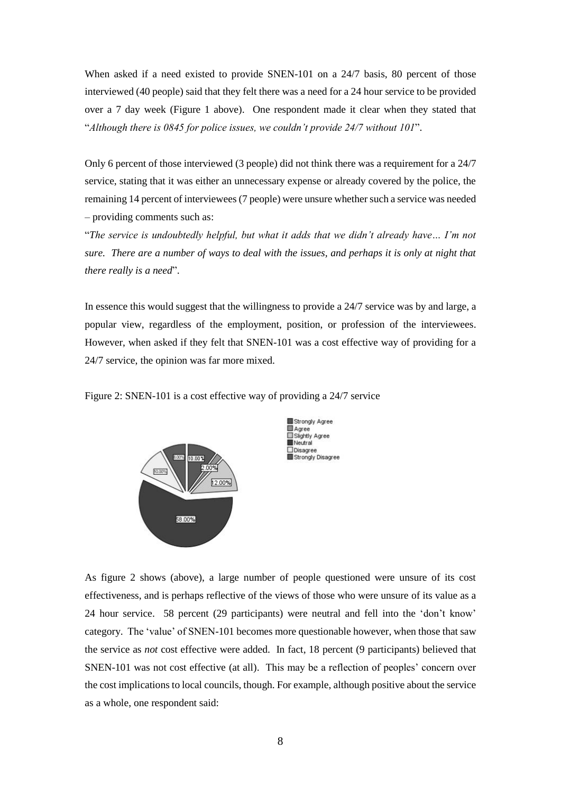When asked if a need existed to provide SNEN-101 on a 24/7 basis, 80 percent of those interviewed (40 people) said that they felt there was a need for a 24 hour service to be provided over a 7 day week (Figure 1 above). One respondent made it clear when they stated that "*Although there is 0845 for police issues, we couldn't provide 24/7 without 101*".

Only 6 percent of those interviewed (3 people) did not think there was a requirement for a 24/7 service, stating that it was either an unnecessary expense or already covered by the police, the remaining 14 percent of interviewees (7 people) were unsure whether such a service was needed – providing comments such as:

"*The service is undoubtedly helpful, but what it adds that we didn't already have… I'm not sure. There are a number of ways to deal with the issues, and perhaps it is only at night that there really is a need*".

In essence this would suggest that the willingness to provide a 24/7 service was by and large, a popular view, regardless of the employment, position, or profession of the interviewees. However, when asked if they felt that SNEN-101 was a cost effective way of providing for a 24/7 service, the opinion was far more mixed.

Figure 2: SNEN-101 is a cost effective way of providing a 24/7 service





As figure 2 shows (above), a large number of people questioned were unsure of its cost effectiveness, and is perhaps reflective of the views of those who were unsure of its value as a 24 hour service. 58 percent (29 participants) were neutral and fell into the 'don't know' category. The 'value' of SNEN-101 becomes more questionable however, when those that saw the service as *not* cost effective were added. In fact, 18 percent (9 participants) believed that SNEN-101 was not cost effective (at all). This may be a reflection of peoples' concern over the cost implications to local councils, though. For example, although positive about the service as a whole, one respondent said: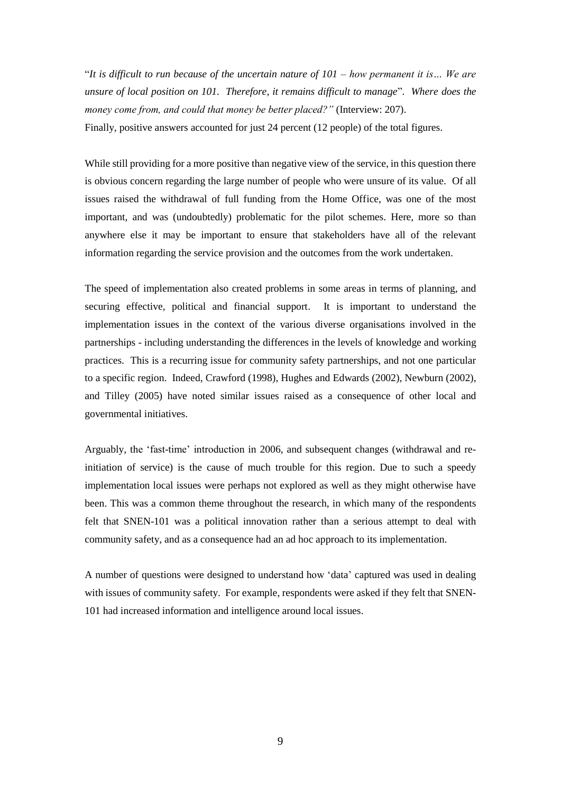"*It is difficult to run because of the uncertain nature of 101 – how permanent it is… We are unsure of local position on 101. Therefore, it remains difficult to manage*"*. Where does the money come from, and could that money be better placed?"* (Interview: 207). Finally, positive answers accounted for just 24 percent (12 people) of the total figures.

While still providing for a more positive than negative view of the service, in this question there is obvious concern regarding the large number of people who were unsure of its value. Of all issues raised the withdrawal of full funding from the Home Office, was one of the most important, and was (undoubtedly) problematic for the pilot schemes. Here, more so than anywhere else it may be important to ensure that stakeholders have all of the relevant information regarding the service provision and the outcomes from the work undertaken.

The speed of implementation also created problems in some areas in terms of planning, and securing effective, political and financial support. It is important to understand the implementation issues in the context of the various diverse organisations involved in the partnerships - including understanding the differences in the levels of knowledge and working practices. This is a recurring issue for community safety partnerships, and not one particular to a specific region. Indeed, Crawford (1998), Hughes and Edwards (2002), Newburn (2002), and Tilley (2005) have noted similar issues raised as a consequence of other local and governmental initiatives.

Arguably, the 'fast-time' introduction in 2006, and subsequent changes (withdrawal and reinitiation of service) is the cause of much trouble for this region. Due to such a speedy implementation local issues were perhaps not explored as well as they might otherwise have been. This was a common theme throughout the research, in which many of the respondents felt that SNEN-101 was a political innovation rather than a serious attempt to deal with community safety, and as a consequence had an ad hoc approach to its implementation.

A number of questions were designed to understand how 'data' captured was used in dealing with issues of community safety. For example, respondents were asked if they felt that SNEN-101 had increased information and intelligence around local issues.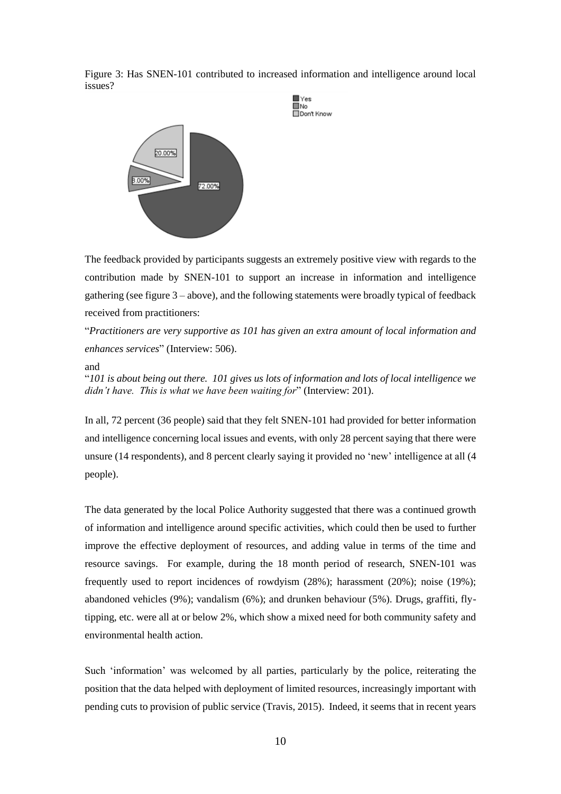Figure 3: Has SNEN-101 contributed to increased information and intelligence around local issues?



The feedback provided by participants suggests an extremely positive view with regards to the contribution made by SNEN-101 to support an increase in information and intelligence gathering (see figure 3 – above), and the following statements were broadly typical of feedback received from practitioners:

"*Practitioners are very supportive as 101 has given an extra amount of local information and enhances services*" (Interview: 506).

### and

"*101 is about being out there. 101 gives us lots of information and lots of local intelligence we didn't have. This is what we have been waiting for*" (Interview: 201).

In all, 72 percent (36 people) said that they felt SNEN-101 had provided for better information and intelligence concerning local issues and events, with only 28 percent saying that there were unsure (14 respondents), and 8 percent clearly saying it provided no 'new' intelligence at all (4 people).

The data generated by the local Police Authority suggested that there was a continued growth of information and intelligence around specific activities, which could then be used to further improve the effective deployment of resources, and adding value in terms of the time and resource savings. For example, during the 18 month period of research, SNEN-101 was frequently used to report incidences of rowdyism (28%); harassment (20%); noise (19%); abandoned vehicles (9%); vandalism (6%); and drunken behaviour (5%). Drugs, graffiti, flytipping, etc. were all at or below 2%, which show a mixed need for both community safety and environmental health action.

Such 'information' was welcomed by all parties, particularly by the police, reiterating the position that the data helped with deployment of limited resources, increasingly important with pending cuts to provision of public service (Travis, 2015). Indeed, it seems that in recent years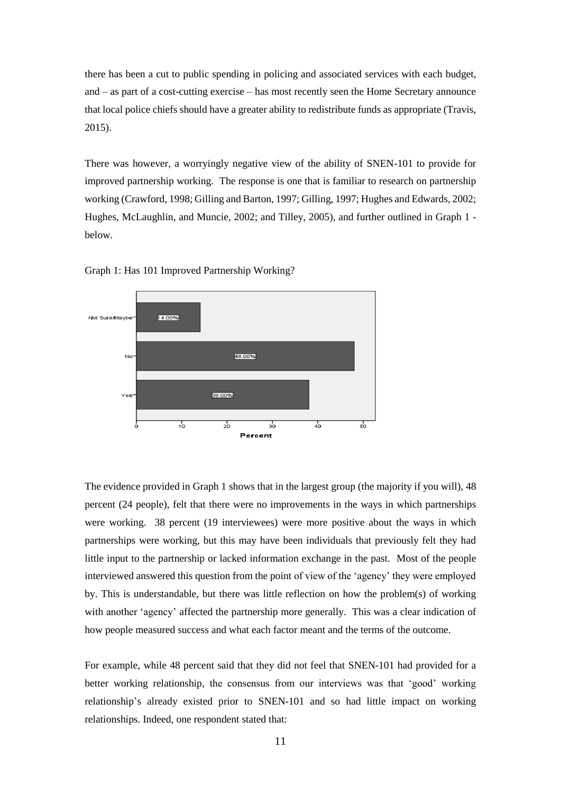there has been a cut to public spending in policing and associated services with each budget, and – as part of a cost-cutting exercise – has most recently seen the Home Secretary announce that local police chiefs should have a greater ability to redistribute funds as appropriate (Travis, 2015).

There was however, a worryingly negative view of the ability of SNEN-101 to provide for improved partnership working. The response is one that is familiar to research on partnership working (Crawford, 1998; Gilling and Barton, 1997; Gilling, 1997; Hughes and Edwards, 2002; Hughes, McLaughlin, and Muncie, 2002; and Tilley, 2005), and further outlined in Graph 1 below.





The evidence provided in Graph 1 shows that in the largest group (the majority if you will), 48 percent (24 people), felt that there were no improvements in the ways in which partnerships were working. 38 percent (19 interviewees) were more positive about the ways in which partnerships were working, but this may have been individuals that previously felt they had little input to the partnership or lacked information exchange in the past. Most of the people interviewed answered this question from the point of view of the 'agency' they were employed by. This is understandable, but there was little reflection on how the problem(s) of working with another 'agency' affected the partnership more generally. This was a clear indication of how people measured success and what each factor meant and the terms of the outcome.

For example, while 48 percent said that they did not feel that SNEN-101 had provided for a better working relationship, the consensus from our interviews was that 'good' working relationship's already existed prior to SNEN-101 and so had little impact on working relationships. Indeed, one respondent stated that: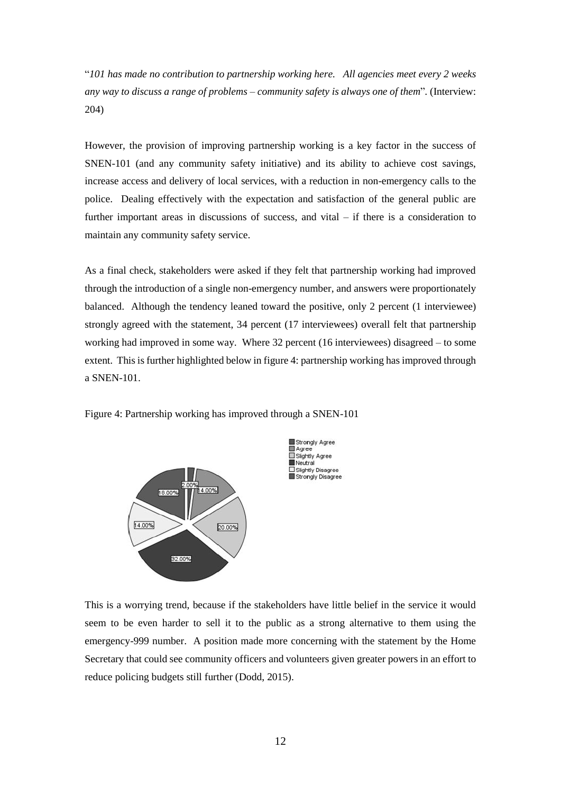"*101 has made no contribution to partnership working here. All agencies meet every 2 weeks any way to discuss a range of problems – community safety is always one of them*"*.* (Interview: 204)

However, the provision of improving partnership working is a key factor in the success of SNEN-101 (and any community safety initiative) and its ability to achieve cost savings, increase access and delivery of local services, with a reduction in non-emergency calls to the police. Dealing effectively with the expectation and satisfaction of the general public are further important areas in discussions of success, and vital – if there is a consideration to maintain any community safety service.

As a final check, stakeholders were asked if they felt that partnership working had improved through the introduction of a single non-emergency number, and answers were proportionately balanced. Although the tendency leaned toward the positive, only 2 percent (1 interviewee) strongly agreed with the statement, 34 percent (17 interviewees) overall felt that partnership working had improved in some way. Where 32 percent (16 interviewees) disagreed – to some extent. This is further highlighted below in figure 4: partnership working has improved through a SNEN-101.





This is a worrying trend, because if the stakeholders have little belief in the service it would seem to be even harder to sell it to the public as a strong alternative to them using the emergency-999 number. A position made more concerning with the statement by the Home Secretary that could see community officers and volunteers given greater powers in an effort to reduce policing budgets still further (Dodd, 2015).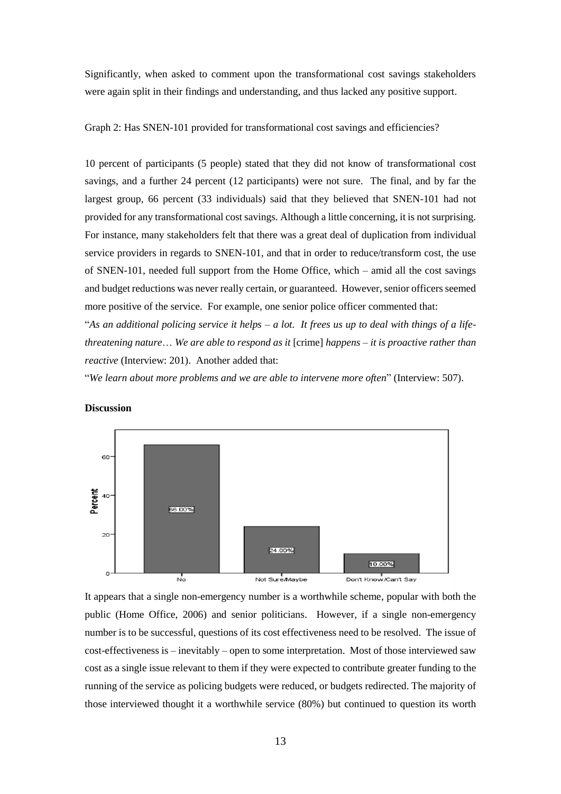Significantly, when asked to comment upon the transformational cost savings stakeholders were again split in their findings and understanding, and thus lacked any positive support.

Graph 2: Has SNEN-101 provided for transformational cost savings and efficiencies?

10 percent of participants (5 people) stated that they did not know of transformational cost savings, and a further 24 percent (12 participants) were not sure. The final, and by far the largest group, 66 percent (33 individuals) said that they believed that SNEN-101 had not provided for any transformational cost savings. Although a little concerning, it is not surprising. For instance, many stakeholders felt that there was a great deal of duplication from individual service providers in regards to SNEN-101, and that in order to reduce/transform cost, the use of SNEN-101, needed full support from the Home Office, which – amid all the cost savings and budget reductions was never really certain, or guaranteed. However, senior officers seemed more positive of the service. For example, one senior police officer commented that:

"*As an additional policing service it helps – a lot. It frees us up to deal with things of a lifethreatening nature*… *We are able to respond as it* [crime] *happens – it is proactive rather than reactive* (Interview: 201). Another added that:

"*We learn about more problems and we are able to intervene more often*" (Interview: 507).



# **Discussion**

It appears that a single non-emergency number is a worthwhile scheme, popular with both the public (Home Office, 2006) and senior politicians. However, if a single non-emergency number is to be successful, questions of its cost effectiveness need to be resolved. The issue of cost-effectiveness is – inevitably – open to some interpretation. Most of those interviewed saw cost as a single issue relevant to them if they were expected to contribute greater funding to the running of the service as policing budgets were reduced, or budgets redirected. The majority of those interviewed thought it a worthwhile service (80%) but continued to question its worth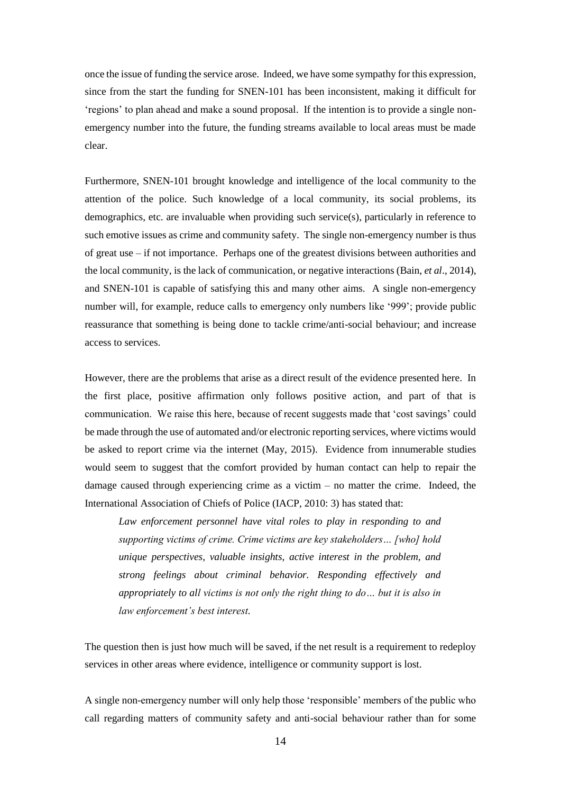once the issue of funding the service arose. Indeed, we have some sympathy for this expression, since from the start the funding for SNEN-101 has been inconsistent, making it difficult for 'regions' to plan ahead and make a sound proposal. If the intention is to provide a single nonemergency number into the future, the funding streams available to local areas must be made clear.

Furthermore, SNEN-101 brought knowledge and intelligence of the local community to the attention of the police. Such knowledge of a local community, its social problems, its demographics, etc. are invaluable when providing such service(s), particularly in reference to such emotive issues as crime and community safety. The single non-emergency number is thus of great use – if not importance. Perhaps one of the greatest divisions between authorities and the local community, is the lack of communication, or negative interactions (Bain, *et al*., 2014), and SNEN-101 is capable of satisfying this and many other aims. A single non-emergency number will, for example, reduce calls to emergency only numbers like '999'; provide public reassurance that something is being done to tackle crime/anti-social behaviour; and increase access to services.

However, there are the problems that arise as a direct result of the evidence presented here. In the first place, positive affirmation only follows positive action, and part of that is communication. We raise this here, because of recent suggests made that 'cost savings' could be made through the use of automated and/or electronic reporting services, where victims would be asked to report crime via the internet (May, 2015). Evidence from innumerable studies would seem to suggest that the comfort provided by human contact can help to repair the damage caused through experiencing crime as a victim – no matter the crime. Indeed, the International Association of Chiefs of Police (IACP, 2010: 3) has stated that:

*Law enforcement personnel have vital roles to play in responding to and supporting victims of crime. Crime victims are key stakeholders… [who] hold unique perspectives, valuable insights, active interest in the problem, and strong feelings about criminal behavior. Responding effectively and appropriately to all victims is not only the right thing to do… but it is also in law enforcement's best interest.*

The question then is just how much will be saved, if the net result is a requirement to redeploy services in other areas where evidence, intelligence or community support is lost.

A single non-emergency number will only help those 'responsible' members of the public who call regarding matters of community safety and anti-social behaviour rather than for some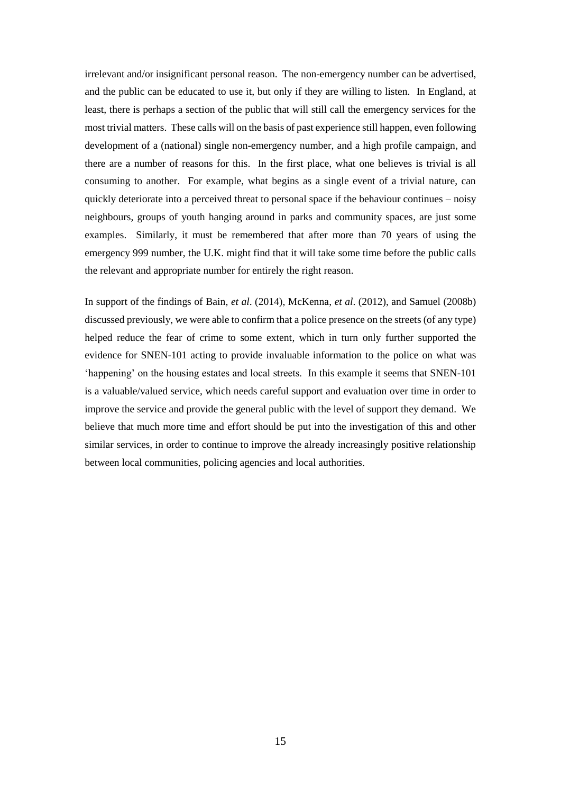irrelevant and/or insignificant personal reason. The non-emergency number can be advertised, and the public can be educated to use it, but only if they are willing to listen. In England, at least, there is perhaps a section of the public that will still call the emergency services for the most trivial matters. These calls will on the basis of past experience still happen, even following development of a (national) single non-emergency number, and a high profile campaign, and there are a number of reasons for this. In the first place, what one believes is trivial is all consuming to another. For example, what begins as a single event of a trivial nature, can quickly deteriorate into a perceived threat to personal space if the behaviour continues – noisy neighbours, groups of youth hanging around in parks and community spaces, are just some examples. Similarly, it must be remembered that after more than 70 years of using the emergency 999 number, the U.K. might find that it will take some time before the public calls the relevant and appropriate number for entirely the right reason.

In support of the findings of Bain, *et al*. (2014), McKenna, *et al*. (2012), and Samuel (2008b) discussed previously, we were able to confirm that a police presence on the streets (of any type) helped reduce the fear of crime to some extent, which in turn only further supported the evidence for SNEN-101 acting to provide invaluable information to the police on what was 'happening' on the housing estates and local streets.In this example it seems that SNEN-101 is a valuable/valued service, which needs careful support and evaluation over time in order to improve the service and provide the general public with the level of support they demand. We believe that much more time and effort should be put into the investigation of this and other similar services, in order to continue to improve the already increasingly positive relationship between local communities, policing agencies and local authorities.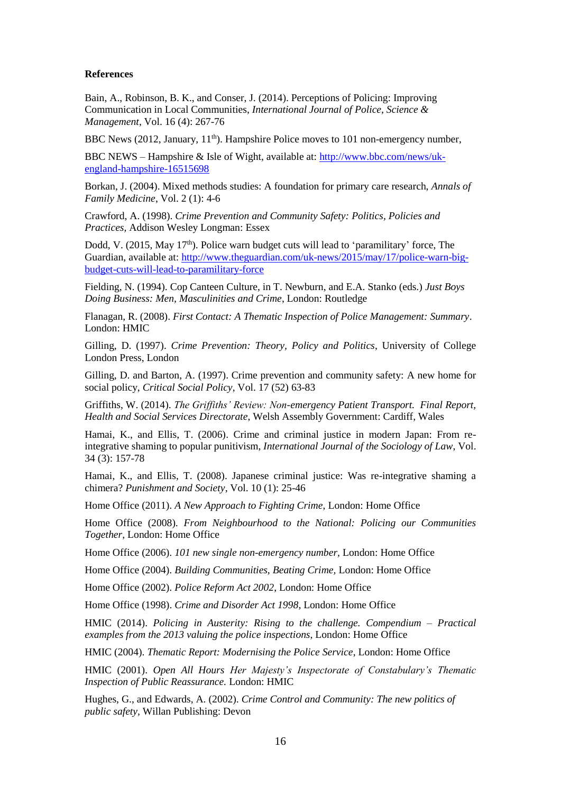#### **References**

Bain, A., Robinson, B. K., and Conser, J. (2014). Perceptions of Policing: Improving Communication in Local Communities, *International Journal of Police, Science & Management*, Vol. 16 (4): 267-76

BBC News (2012, January, 11<sup>th</sup>). Hampshire Police moves to 101 non-emergency number,

BBC NEWS – Hampshire & Isle of Wight, available at: [http://www.bbc.com/news/uk](http://www.bbc.com/news/uk-england-hampshire-16515698)[england-hampshire-16515698](http://www.bbc.com/news/uk-england-hampshire-16515698)

Borkan, J. (2004). Mixed methods studies: A foundation for primary care research, *Annals of Family Medicine*, Vol. 2 (1): 4-6

Crawford, A. (1998). *Crime Prevention and Community Safety: Politics, Policies and Practices,* Addison Wesley Longman: Essex

Dodd, V. (2015, May  $17<sup>th</sup>$ ). Police warn budget cuts will lead to 'paramilitary' force, The Guardian, available at: [http://www.theguardian.com/uk-news/2015/may/17/police-warn-big](http://www.theguardian.com/uk-news/2015/may/17/police-warn-big-budget-cuts-will-lead-to-paramilitary-force)[budget-cuts-will-lead-to-paramilitary-force](http://www.theguardian.com/uk-news/2015/may/17/police-warn-big-budget-cuts-will-lead-to-paramilitary-force)

Fielding, N. (1994). Cop Canteen Culture, in T. Newburn, and E.A. Stanko (eds.) *Just Boys Doing Business: Men, Masculinities and Crime*, London: Routledge

Flanagan, R. (2008). *First Contact: A Thematic Inspection of Police Management: Summary*. London: HMIC

Gilling, D. (1997). *Crime Prevention: Theory, Policy and Politics*, University of College London Press, London

Gilling, D. and Barton, A. (1997). Crime prevention and community safety: A new home for social policy, *Critical Social Policy*, Vol. 17 (52) 63-83

Griffiths, W. (2014). *The Griffiths' Review: Non-emergency Patient Transport. Final Report, Health and Social Services Directorate*, Welsh Assembly Government: Cardiff, Wales

Hamai, K., and Ellis, T. (2006). Crime and criminal justice in modern Japan: From reintegrative shaming to popular punitivism, *International Journal of the Sociology of Law*, Vol. 34 (3): 157-78

Hamai, K., and Ellis, T. (2008). Japanese criminal justice: Was re-integrative shaming a chimera? *Punishment and Society*, Vol. 10 (1): 25-46

Home Office (2011). *A New Approach to Fighting Crime*, London: Home Office

Home Office (2008). *From Neighbourhood to the National: Policing our Communities Together,* London: Home Office

Home Office (2006). *101 new single non-emergency number,* London: Home Office

Home Office (2004). *Building Communities, Beating Crime,* London: Home Office

Home Office (2002). *Police Reform Act 2002*, London: Home Office

Home Office (1998). *Crime and Disorder Act 1998*, London: Home Office

HMIC (2014). *Policing in Austerity: Rising to the challenge. Compendium – Practical examples from the 2013 valuing the police inspections*, London: Home Office

HMIC (2004). *Thematic Report: Modernising the Police Service*, London: Home Office

HMIC (2001). *Open All Hours Her Majesty's Inspectorate of Constabulary's Thematic Inspection of Public Reassurance.* London: HMIC

Hughes, G., and Edwards, A. (2002). *Crime Control and Community: The new politics of public safety,* Willan Publishing: Devon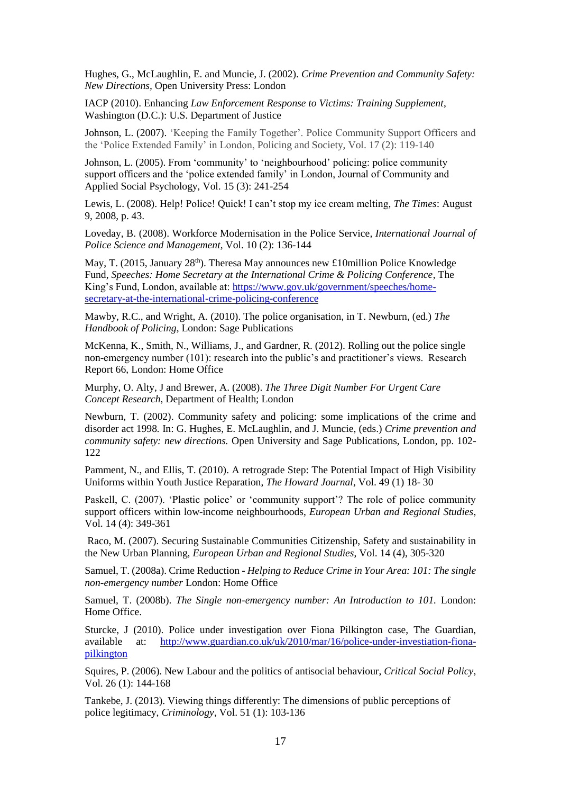Hughes, G., McLaughlin, E. and Muncie, J. (2002). *Crime Prevention and Community Safety: New Directions,* Open University Press: London

IACP (2010). Enhancing *Law Enforcement Response to Victims: Training Supplement*, Washington (D.C.): U.S. Department of Justice

Johnson, L. (2007). 'Keeping the Family Together'. Police Community Support Officers and the 'Police Extended Family' in London, Policing and Society, Vol. 17 (2): 119-140

Johnson, L. (2005). From 'community' to 'neighbourhood' policing: police community support officers and the 'police extended family' in London, Journal of Community and Applied Social Psychology, Vol. 15 (3): 241-254

Lewis, L. (2008). Help! Police! Quick! I can't stop my ice cream melting*, The Times*: August 9, 2008, p. 43.

Loveday, B. (2008). Workforce Modernisation in the Police Service*, International Journal of Police Science and Management*, Vol. 10 (2): 136-144

May, T. (2015, January 28<sup>th</sup>). Theresa May announces new £10million Police Knowledge Fund, *Speeches: Home Secretary at the International Crime & Policing Conference*, The King's Fund, London, available at: [https://www.gov.uk/government/speeches/home](https://www.gov.uk/government/speeches/home-secretary-at-the-international-crime-policing-conference)[secretary-at-the-international-crime-policing-conference](https://www.gov.uk/government/speeches/home-secretary-at-the-international-crime-policing-conference)

Mawby, R.C., and Wright, A. (2010). The police organisation, in T. Newburn, (ed.) *The Handbook of Policing*, London: Sage Publications

McKenna, K., Smith, N., Williams, J., and Gardner, R. (2012). Rolling out the police single non-emergency number (101): research into the public's and practitioner's views. Research Report 66, London: Home Office

Murphy, O. Alty, J and Brewer, A. (2008). *The Three Digit Number For Urgent Care Concept Research*, Department of Health; London

Newburn, T. (2002). Community safety and policing: some implications of the crime and disorder act 1998*.* In: G. Hughes, E. McLaughlin, and J. Muncie, (eds.) *Crime prevention and community safety: new directions.* Open University and Sage Publications, London, pp. 102- 122

Pamment, N., and Ellis, T. (2010). A retrograde Step: The Potential Impact of High Visibility Uniforms within Youth Justice Reparation, *The Howard Journal*, Vol. 49 (1) 18- 30

Paskell, C. (2007). 'Plastic police' or 'community support'? The role of police community support officers within low-income neighbourhoods, *European Urban and Regional Studies*, Vol. 14 (4): 349-361

Raco, M. (2007). Securing Sustainable Communities Citizenship, Safety and sustainability in the New Urban Planning, *European Urban and Regional Studies*, Vol. 14 (4), 305-320

Samuel, T. (2008a). Crime Reduction - *Helping to Reduce Crime in Your Area: 101: The single non-emergency number* London: Home Office

Samuel, T. (2008b). *The Single non-emergency number: An Introduction to 101.* London: Home Office.

Sturcke, J (2010). Police under investigation over Fiona Pilkington case, The Guardian, available at: [http://www.guardian.co.uk/uk/2010/mar/16/police-under-investiation-fiona](http://www.guardian.co.uk/uk/2010/mar/16/police-under-investiation-fiona-pilkington)[pilkington](http://www.guardian.co.uk/uk/2010/mar/16/police-under-investiation-fiona-pilkington)

Squires, P. (2006). New Labour and the politics of antisocial behaviour, *Critical Social Policy*, Vol. 26 (1): 144-168

Tankebe, J. (2013). Viewing things differently: The dimensions of public perceptions of police legitimacy, *Criminology*, Vol. 51 (1): 103-136